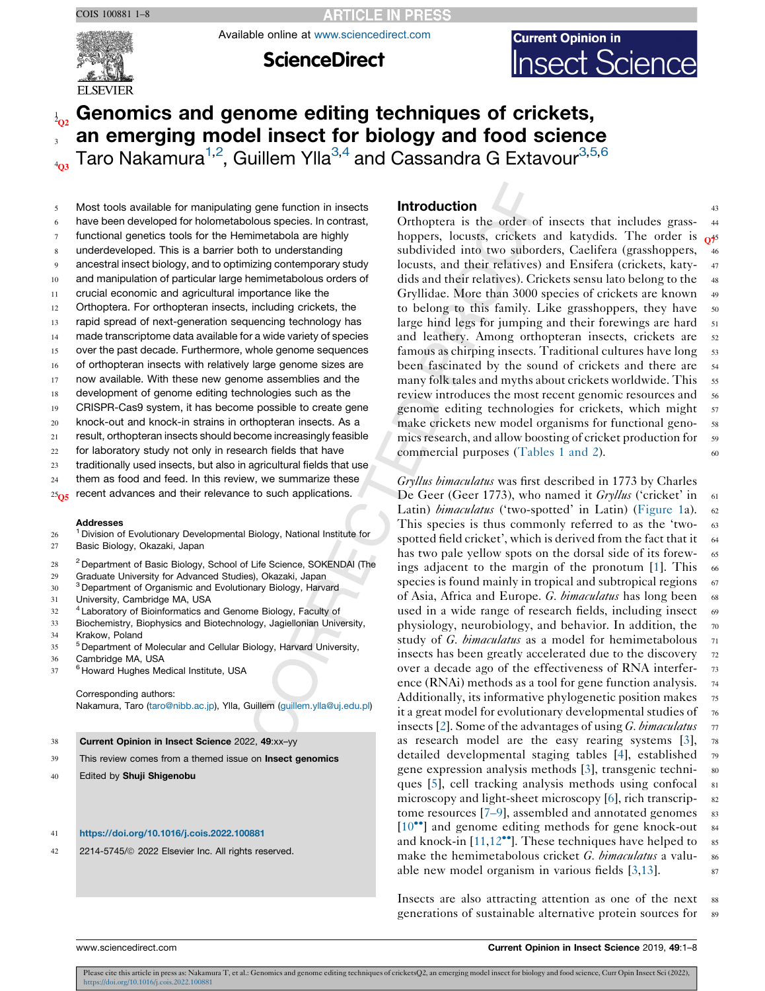**ARTICLE IN PRESS** 

Available online at [www.sciencedirect.com](http://www.sciencedirect.com/science/journal/aip/22145745)



**ScienceDirect** 



# 1 Genomics and genome editing techniques of crickets, an emerging model insect for biology and food science

 $_{4_{03}}$  Taro Nakamura<sup>1,2</sup>, Guillem Ylla<sup>3,4</sup> and Cassandra G Extavour<sup>3,5,6</sup>

- 5 Most tools available for manipulating gene function in insects
- 6 have been developed for holometabolous species. In contrast,
- functional genetics tools for the Hemimetabola are highly
- 8 underdeveloped. This is a barrier both to understanding
- 9 ancestral insect biology, and to optimizing contemporary study
- 10 and manipulation of particular large hemimetabolous orders of
- 11 crucial economic and agricultural importance like the
- 12 Orthoptera. For orthopteran insects, including crickets, the
- 13 rapid spread of next-generation sequencing technology has
- 14 made transcriptome data available for a wide variety of species
- 15 over the past decade. Furthermore, whole genome sequences
- 16 of orthopteran insects with relatively large genome sizes are
- 17 now available. With these new genome assemblies and the
- 18 development of genome editing technologies such as the
- 19 CRISPR-Cas9 system, it has become possible to create gene
- 20 knock-out and knock-in strains in orthopteran insects. As a
- 21 result, orthopteran insects should become increasingly feasible
- 22 for laboratory study not only in research fields that have
- 23 traditionally used insects, but also in agricultural fields that use
- 24 them as food and feed. In this review, we summarize these
- $25<sub>0.5</sub>$  recent advances and their relevance to such applications.

#### Addresses

- <sup>1</sup> Division of Evolutionary Developmental Biology, National Institute for
- 27 Basic Biology, Okazaki, Japan
- <sup>28</sup> Department of Basic Biology, School of Life Science, SOKENDAI (The
- 29 Graduate University for Advanced Studies), Okazaki, Japan
- 30 <sup>3</sup> Department of Organismic and Evolutionary Biology, Harvard
- 31 University, Cambridge MA, USA
- <sup>32</sup> <sup>4</sup> Laboratory of Bioinformatics and Genome Biology, Faculty of
- 33 Biochemistry, Biophysics and Biotechnology, Jagiellonian University,
- 34 Krakow, Poland
- <sup>5</sup> Department of Molecular and Cellular Biology, Harvard University,
- 36 Cambridge MA, USA
- <sup>37</sup> <sup>6</sup> Howard Hughes Medical Institute, USA

Corresponding authors: Nakamura, Taro ([taro@nibb.ac.jp\)](mailto:taro@nibb.ac.jp), Ylla, Guillem ([guillem.ylla@uj.edu.pl](mailto:guillem.ylla@uj.edu.pl))

- 38 Current Opinion in Insect Science 2022, 49:xx–yy
- 39 This review comes from a themed issue on Insect genomics
- 40 Edited by Shuji Shigenobu

#### 41 <https://doi.org/10.1016/j.cois.2022.100881>

42 2214-5745/ 2022 Elsevier Inc. All rights reserved.

# **Introduction** 43

Orthoptera is the order of insects that includes grass- <sup>44</sup> hoppers, locusts, crickets and katydids. The order is  $\alpha$ <sup>55</sup> subdivided into two suborders, Caelifera (grasshoppers, 46 locusts, and their relatives) and Ensifera (crickets, katy-47 dids and their relatives). Crickets sensu lato belong to the 48 Gryllidae. More than 3000 species of crickets are known <sup>49</sup> to belong to this family. Like grasshoppers, they have 50 large hind legs for jumping and their forewings are hard 51 and leathery. Among orthopteran insects, crickets are 52 famous as chirping insects. Traditional cultures have long 53 been fascinated by the sound of crickets and there are <sup>54</sup> many folk tales and myths about crickets worldwide. This 55 review introduces the most recent genomic resources and 56 genome editing technologies for crickets, which might 57 make crickets new model organisms for functional genomics research, and allow boosting of cricket production for 59 commercial purposes ([Tables](#page-1-0) 1 and 2).  $60$ 

Gryllus bimaculatus was first described in 1773 by Charles De Geer (Geer 1773), who named it Gryllus ('cricket' in 61 Latin) *bimaculatus* ('two-spotted' in Latin) ([Figure](#page-2-0) 1a). 62 This species is thus commonly referred to as the 'two- <sup>63</sup> spotted field cricket', which is derived from the fact that it  $64$ has two pale yellow spots on the dorsal side of its forew- 65 ings adjacent to the margin of the pronotum  $[1]$  $[1]$ . This 66 species is found mainly in tropical and subtropical regions 67 of Asia, Africa and Europe. G. bimaculatus has long been 68 used in a wide range of research fields, including insect 69 physiology, neurobiology, and behavior. In addition, the 70 study of G. bimaculatus as a model for hemimetabolous 71 insects has been greatly accelerated due to the discovery 72 over a decade ago of the effectiveness of RNA interfer- <sup>73</sup> ence (RNAi) methods as a tool for gene function analysis.  $\frac{74}{4}$ Additionally, its informative phylogenetic position makes 75 it a great model for evolutionary developmental studies of  $\tau_6$ insects [\[2](#page-4-0)]. Some of the advantages of using G. bimaculatus  $\tau$ as research model are the easy rearing systems [[3\]](#page-4-0), <sup>78</sup> detailed developmental staging tables [[4\]](#page-4-0), established <sup>79</sup> gene expression analysis methods [\[3](#page-4-0)], transgenic techni- <sup>80</sup> ques [[5\]](#page-4-0), cell tracking analysis methods using confocal  $\overline{\phantom{a}}$  81 microscopy and light-sheet microscopy [\[6\]](#page-4-0), rich transcrip- 82 tome resources  $[7-9]$ , assembled and annotated genomes  $83$  $[10\text{°}]$  and genome editing methods for gene [knock-out](#page-5-0)  $\alpha$ and knock-in  $[11,12^{\bullet}]$  $[11,12^{\bullet}]$  $[11,12^{\bullet}]$ . These techniques have helped to ss make the hemimetabolous cricket G. bimaculatus a valu- 86 able new model organism in various fields  $[3,13]$  $[3,13]$  $[3,13]$ .  $87$ 

Insects are also attracting attention as one of the next 88 generations of sustainable alternative protein sources for 89

Please cite this article in press as: Nakamura T, et al.: Genomics and genome editing techniques of cricketsQ2, an emerging model insect for biology and food science, Curr Opin Insect Sci (2022), <https://doi.org/10.1016/j.cois.2022.100881>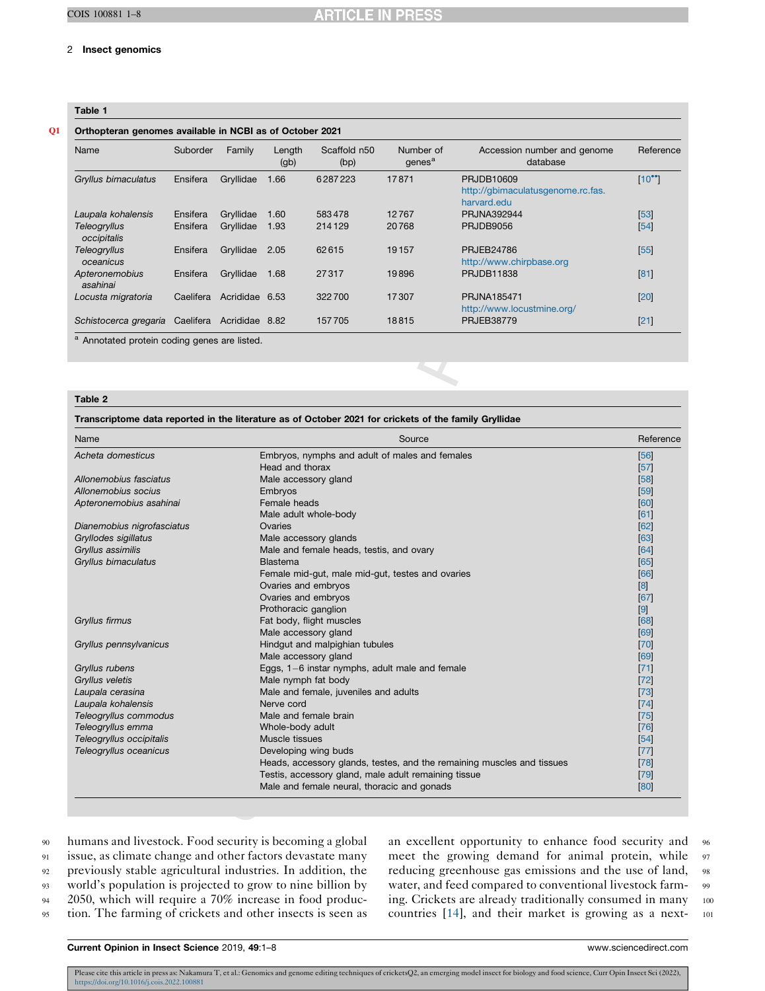#### <span id="page-1-0"></span>2 Insect genomics

# Table 1

# Q1 Orthopteran genomes available in NCBI as of October 2021

| Name                        | Suborder  | Family         | Length<br>(g <sub>b</sub> ) | Scaffold n50<br>(bp) | Number of<br>qenes <sup>a</sup> | Accession number and genome<br>database                        | Reference      |
|-----------------------------|-----------|----------------|-----------------------------|----------------------|---------------------------------|----------------------------------------------------------------|----------------|
| Gryllus bimaculatus         | Ensifera  | Gryllidae      | 1.66                        | 6287223              | 17871                           | PRJDB10609<br>http://qbimaculatusgenome.rc.fas.<br>harvard.edu | $[10^{\circ}]$ |
| Laupala kohalensis          | Ensifera  | Gryllidae      | 1.60                        | 583478               | 12767                           | PRJNA392944                                                    | $[53]$         |
| Teleogryllus<br>occipitalis | Ensifera  | Gryllidae      | 1.93                        | 214129               | 20768                           | <b>PRJDB9056</b>                                               | $[54]$         |
| Teleogryllus<br>oceanicus   | Ensifera  | Gryllidae      | 2.05                        | 62615                | 19157                           | <b>PRJEB24786</b><br>http://www.chirpbase.org                  | $[55]$         |
| Apteronemobius<br>asahinai  | Ensifera  | Gryllidae      | 1.68                        | 27317                | 19896                           | PRJDB11838                                                     | [81]           |
| Locusta migratoria          | Caelifera | Acrididae 6.53 |                             | 322700               | 17307                           | PRJNA185471<br>http://www.locustmine.org/                      | $[20]$         |
| Schistocerca gregaria       | Caelifera | Acrididae 8.82 |                             | 157705               | 18815                           | <b>PRJEB38779</b>                                              | $[21]$         |

Annotated protein coding genes are listed.

#### Table 2

| Name                       | Source                                                                 | Reference         |
|----------------------------|------------------------------------------------------------------------|-------------------|
| Acheta domesticus          | Embryos, nymphs and adult of males and females                         | [56]              |
|                            | Head and thorax                                                        | [57]              |
| Allonemobius fasciatus     | Male accessory gland                                                   | [58]              |
| Allonemobius socius        | Embryos                                                                | [59]              |
| Apteronemobius asahinai    | Female heads                                                           | [60]              |
|                            | Male adult whole-body                                                  | [61]              |
| Dianemobius nigrofasciatus | Ovaries                                                                | [62]              |
| Gryllodes sigillatus       | Male accessory glands                                                  | [63]              |
| Gryllus assimilis          | Male and female heads, testis, and ovary                               | [64]              |
| Gryllus bimaculatus        | Blastema                                                               | [65]              |
|                            | Female mid-gut, male mid-gut, testes and ovaries                       | [66]              |
|                            | Ovaries and embryos                                                    | [8]               |
|                            | Ovaries and embryos                                                    | [67]              |
|                            | Prothoracic ganglion                                                   | $\lceil 9 \rceil$ |
| Gryllus firmus             | Fat body, flight muscles                                               | [68]              |
|                            | Male accessory gland                                                   | [69]              |
| Gryllus pennsylvanicus     | Hindgut and malpighian tubules                                         | [70]              |
|                            | Male accessory gland                                                   | [69]              |
| Gryllus rubens             | Eggs, 1-6 instar nymphs, adult male and female                         | [71]              |
| Gryllus veletis            | Male nymph fat body                                                    | $[72]$            |
| Laupala cerasina           | Male and female, juveniles and adults                                  | $[73]$            |
| Laupala kohalensis         | Nerve cord                                                             | [74]              |
| Teleogryllus commodus      | Male and female brain                                                  | $[75]$            |
| Teleogryllus emma          | Whole-body adult                                                       | [76]              |
| Teleogryllus occipitalis   | Muscle tissues                                                         | [54]              |
| Teleogryllus oceanicus     | Developing wing buds                                                   | $[77]$            |
|                            | Heads, accessory glands, testes, and the remaining muscles and tissues | [78]              |
|                            | Testis, accessory gland, male adult remaining tissue                   | $[79]$            |
|                            | Male and female neural, thoracic and gonads                            | [80]              |

 humans and livestock. Food security is becoming a global issue, as climate change and other factors devastate many previously stable agricultural industries. In addition, the world's population is projected to grow to nine billion by 2050, which will require a 70% increase in food produc-tion. The farming of crickets and other insects is seen as

an excellent opportunity to enhance food security and <sup>96</sup> meet the growing demand for animal protein, while 97 reducing greenhouse gas emissions and the use of land, <sup>98</sup> water, and feed compared to conventional livestock farm- 99 ing. Crickets are already traditionally consumed in many 100 countries [[14\]](#page-5-0), and their market is growing as a next- <sup>101</sup>

Current Opinion in Insect Science 2019, 49:1–8 www.sciencedirect.com

Please cite this article in press as: Nakamura T, et al.: Genomics and genome editing techniques of cricketsQ2, an emerging model insect for biology and food science, Curr Opin Insect Sci (2022), <https://doi.org/10.1016/j.cois.2022.100881>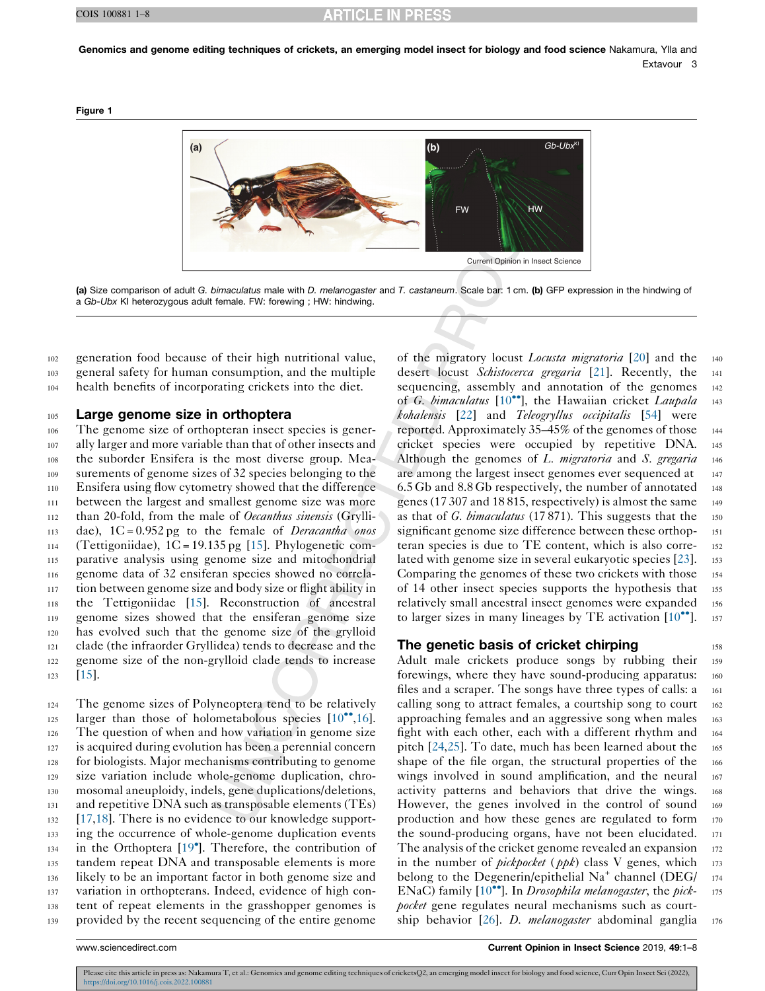<span id="page-2-0"></span>Genomics and genome editing techniques of crickets, an emerging model insect for biology and food science Nakamura, Ylla and Extavour 3

Figure 1



(a) Size comparison of adult G. bimaculatus male with D. melanogaster and T. castaneum. Scale bar: 1 cm. (b) GFP expression in the hindwing of a Gb-Ubx KI heterozygous adult female. FW: forewing ; HW: hindwing.

<sup>102</sup> generation food because of their high nutritional value, <sup>103</sup> general safety for human consumption, and the multiple <sup>104</sup> health benefits of incorporating crickets into the diet.

#### 105 Large genome size in orthoptera

 The genome size of orthopteran insect species is gener- ally larger and more variable than that of other insects and the suborder Ensifera is the most diverse group. Mea- surements of genome sizes of 32 species belonging to the Ensifera using flow cytometry showed that the difference between the largest and smallest genome size was more 112 than 20-fold, from the male of *Oecanthus sinensis* (Grylli-113 dae),  $1C = 0.952$  pg to the female of *Deracantha onos* 114 (Tettigoniidae),  $1C = 19.135$  pg [[15\]](#page-5-0). Phylogenetic com- parative analysis using genome size and mitochondrial genome data of 32 ensiferan species showed no correla- tion between genome size and body size or flight ability in the Tettigoniidae [\[15](#page-5-0)]. Reconstruction of ancestral genome sizes showed that the ensiferan genome size has evolved such that the genome size of the grylloid clade (the infraorder Gryllidea) tends to decrease and the genome size of the non-grylloid clade tends to increase <sup>123</sup> [\[15](#page-5-0)].

 The genome sizes of Polyneoptera tend to be relatively larger than those of holometabolous species  $[10^{\bullet\bullet}, 16]$  $[10^{\bullet\bullet}, 16]$ . The question of when and how variation in genome size is acquired during evolution has been a perennial concern for biologists. Major mechanisms contributing to genome size variation include whole-genome duplication, chro- mosomal aneuploidy, indels, gene duplications/deletions, and repetitive DNA such as transposable elements (TEs) [\[17](#page-5-0),[18\]](#page-5-0). There is no evidence to our knowledge support- ing the occurrence of whole-genome duplication events in the Orthoptera [\[19](#page-5-0) ]. Therefore, the contribution of tandem repeat DNA and transposable elements is more likely to be an important factor in both genome size and variation in orthopterans. Indeed, evidence of high con- tent of repeat elements in the grasshopper genomes is provided by the recent sequencing of the entire genome

of the migratory locust *Locusta migratoria* [\[20](#page-5-0)] and the 140 desert locust Schistocerca gregaria [\[21](#page-5-0)]. Recently, the 141 sequencing, assembly and annotation of the genomes 142 of G. bimaculatus  $[10^{\bullet\bullet}]$  $[10^{\bullet\bullet}]$  $[10^{\bullet\bullet}]$ , the Hawaiian cricket Laupala 143 kohalensis [[22](#page-5-0)] and Teleogryllus occipitalis [[54\]](#page-6-0) were reported. Approximately 35–45% of the genomes of those <sup>144</sup> cricket species were occupied by repetitive DNA. <sup>145</sup> Although the genomes of L. *migratoria* and S. *gregaria*  $_{146}$ are among the largest insect genomes ever sequenced at 147 6.5 Gb and 8.8 Gb respectively, the number of annotated  $_{148}$ genes (17 307 and 18 815, respectively) is almost the same <sup>149</sup> as that of G. bimaculatus (17871). This suggests that the 150 significant genome size difference between these orthopteran species is due to TE content, which is also corre- <sup>152</sup> lated with genome size in several eukaryotic species [[23\]](#page-5-0). 153 Comparing the genomes of these two crickets with those <sup>154</sup> of 14 other insect species supports the hypothesis that 155 relatively small ancestral insect genomes were expanded 156 to larger sizes in many lineages by TE activation  $[10\text{°}$  $[10\text{°}$ . 157

#### **The genetic basis of cricket chirping The genetic basis of cricket chirping**

Adult male crickets produce songs by rubbing their 159 forewings, where they have sound-producing apparatus: 160 files and a scraper. The songs have three types of calls: a 161 calling song to attract females, a courtship song to court 162 approaching females and an aggressive song when males 163 fight with each other, each with a different rhythm and <sup>164</sup> pitch  $[24,25]$  $[24,25]$  $[24,25]$ . To date, much has been learned about the 165 shape of the file organ, the structural properties of the 166 wings involved in sound amplification, and the neural 167 activity patterns and behaviors that drive the wings. <sup>168</sup> However, the genes involved in the control of sound 169 production and how these genes are regulated to form <sup>170</sup> the sound-producing organs, have not been elucidated. <sup>171</sup> The analysis of the cricket genome revealed an expansion 172 in the number of *pickpocket* ( $ppk$ ) class V genes, which  $173$ belong to the Degenerin/epithelial  $Na^+$  channel (DEG/ $_{174}$ ENaC) family  $[10^{\bullet\bullet}]$  $[10^{\bullet\bullet}]$ . In *Drosophila melanogaster*, the *pick-* 175 pocket gene regulates neural mechanisms such as court-ship behavior [[26\]](#page-5-0). *D. melanogaster* abdominal ganglia 176

Please cite this article in press as: Nakamura T, et al.: Genomics and genome editing techniques of cricketsQ2, an emerging model insect for biology and food science, Curr Opin Insect Sci (2022),  $\pi$ gr $/10.1016/$ j.cois. 2022. 100881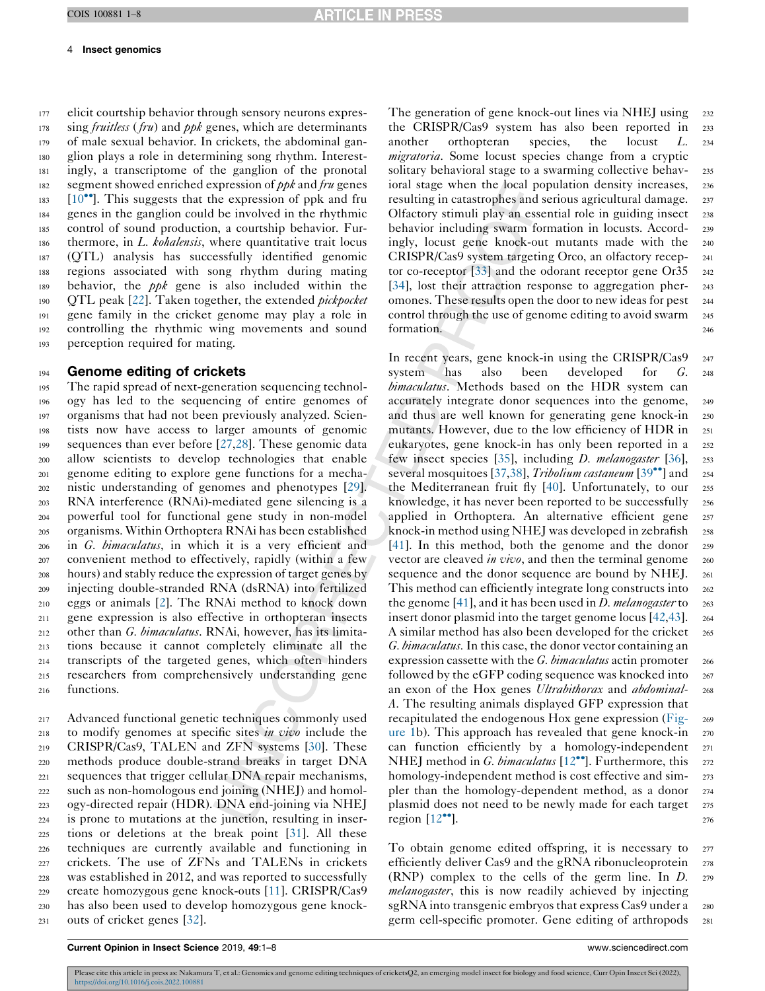#### 4 Insect genomics

 elicit courtship behavior through sensory neurons expres- sing *fruitless* (*fru*) and *ppk* genes, which are determinants of male sexual behavior. In crickets, the abdominal gan- glion plays a role in determining song rhythm. Interest- ingly, a transcriptome of the ganglion of the pronotal 182 segment showed enriched expression of  $p\ddot{\rho}k$  and fru genes [\[10](#page-5-0)<sup> $\bullet$ </sup>]. This suggests that the expression of ppk and fru genes in the ganglion could be involved in the rhythmic control of sound production, a courtship behavior. Fur-186 thermore, in L. kohalensis, where quantitative trait locus (QTL) analysis has successfully identified genomic regions associated with song rhythm during mating 189 behavior, the  $ppk$  gene is also included within the 190 QTL peak [[22\]](#page-5-0). Taken together, the extended *pickpocket*  gene family in the cricket genome may play a role in controlling the rhythmic wing movements and sound perception required for mating.

#### 194 Genome editing of crickets

 The rapid spread of next-generation sequencing technol- ogy has led to the sequencing of entire genomes of organisms that had not been previously analyzed. Scien- tists now have access to larger amounts of genomic sequences than ever before [\[27](#page-5-0),[28\]](#page-5-0). These genomic data allow scientists to develop technologies that enable genome editing to explore gene functions for a mecha- nistic understanding of genomes and phenotypes [\[29](#page-5-0)]. RNA interference (RNAi)-mediated gene silencing is a powerful tool for functional gene study in non-model organisms. Within Orthoptera RNAi has been established in G. bimaculatus, in which it is a very efficient and convenient method to effectively, rapidly (within a few hours) and stably reduce the expression of target genes by injecting double-stranded RNA (dsRNA) into fertilized eggs or animals [[2\]](#page-4-0). The RNAi method to knock down gene expression is also effective in orthopteran insects 212 other than G. bimaculatus. RNAi, however, has its limita- tions because it cannot completely eliminate all the transcripts of the targeted genes, which often hinders researchers from comprehensively understanding gene functions.

 Advanced functional genetic techniques commonly used to modify genomes at specific sites in vivo include the CRISPR/Cas9, TALEN and ZFN systems [\[30](#page-5-0)]. These methods produce double-strand breaks in target DNA sequences that trigger cellular DNA repair mechanisms, such as non-homologous end joining (NHEJ) and homol- ogy-directed repair (HDR). DNA end-joining via NHEJ is prone to mutations at the junction, resulting in inser- tions or deletions at the break point [\[31\]](#page-5-0). All these techniques are currently available and functioning in crickets. The use of ZFNs and TALENs in crickets was established in 2012, and was reported to successfully create homozygous gene knock-outs [[11\]](#page-5-0). CRISPR/Cas9 has also been used to develop homozygous gene knock-outs of cricket genes [[32\]](#page-5-0).

The generation of gene knock-out lines via NHEJ using 232 the CRISPR/Cas9 system has also been reported in <sup>233</sup> another orthopteran species, the locust L. <sup>234</sup> migratoria. Some locust species change from a cryptic solitary behavioral stage to a swarming collective behav-<br>235 ioral stage when the local population density increases, <sup>236</sup> resulting in catastrophes and serious agricultural damage. <sup>237</sup> Olfactory stimuli play an essential role in guiding insect <sup>238</sup> behavior including swarm formation in locusts. Accord- <sup>239</sup> ingly, locust gene knock-out mutants made with the <sup>240</sup> CRISPR/Cas9 system targeting Orco, an olfactory recep- <sup>241</sup> tor co-receptor  $\left[33\right]$  $\left[33\right]$  $\left[33\right]$  and the odorant receptor gene Or  $35\frac{242}{2}$ [\[34](#page-5-0)], lost their attraction response to aggregation pher- 243 omones. These results open the door to new ideas for pest <sup>244</sup> control through the use of genome editing to avoid swarm 245 formation. 246

In recent years, gene knock-in using the CRISPR/Cas9 247 system has also been developed for G. <sup>248</sup> bimaculatus. Methods based on the HDR system can accurately integrate donor sequences into the genome, <sup>249</sup> and thus are well known for generating gene knock-in 250 mutants. However, due to the low efficiency of HDR in 251 eukaryotes, gene knock-in has only been reported in a <sup>252</sup> few insect species [[35\]](#page-5-0), including D. melanogaster [[36](#page-5-0)], <sup>253</sup> several mosquitoes [[37,38](#page-5-0)], Tribolium castaneum  $[39\degree]$  [and](#page-5-0) 254 the Mediterranean fruit fly [[40\]](#page-5-0). Unfortunately, to our 255 knowledge, it has never been reported to be successfully 256 applied in Orthoptera. An alternative efficient gene 257 knock-in method using NHEJ was developed in zebrafish 258 [\[41](#page-5-0)]. In this method, both the genome and the donor <sup>259</sup> vector are cleaved *in vivo*, and then the terminal genome 260 sequence and the donor sequence are bound by NHEJ. 261 This method can efficiently integrate long constructs into 262 the genome [[41\]](#page-5-0), and it has been used in *D. melanogaster* to  $_{263}$ insert donor plasmid into the target genome locus [\[42](#page-5-0),[43](#page-5-0)]. 264 A similar method has also been developed for the cricket 265 G. bimaculatus. In this case, the donor vector containing an expression cassette with the  $G. bimaculatus$  actin promoter 266 followed by the eGFP coding sequence was knocked into 267 an exon of the Hox genes *Ultrabithorax* and *abdominal*- 268 A. The resulting animals displayed GFP expression that recapitulated the endogenous Hox gene expression ([Fig-](#page-2-0) <sup>269</sup> [ure](#page-2-0) 1b). This approach has revealed that gene knock-in <sup>270</sup> can function efficiently by a homology-independent <sup>271</sup> NHEJ method in G. bimaculatus  $[12^{\bullet\bullet}]$  $[12^{\bullet\bullet}]$ . Furthermore, this  $272$ homology-independent method is cost effective and sim-<br>273 pler than the homology-dependent method, as a donor <sup>274</sup> plasmid does not need to be newly made for each target 275 region  $[12^{\bullet\bullet}]$  $[12^{\bullet\bullet}]$ . 276

To obtain genome edited offspring, it is necessary to <sup>277</sup> efficiently deliver Cas9 and the gRNA ribonucleoprotein 278 (RNP) complex to the cells of the germ line. In  $D$ . 279 melanogaster, this is now readily achieved by injecting sgRNA into transgenic embryos that express Cas9 under a 280 germ cell-specific promoter. Gene editing of arthropods <sup>281</sup>

Current Opinion in Insect Science 2019, 49:1–8 www.sciencedirect.com

Please cite this article in press as: Nakamura T, et al.: Genomics and genome editing techniques of cricketsQ2, an emerging model insect for biology and food science, Curr Opin Insect Sci (2022), https://doi.org/10.1016/j.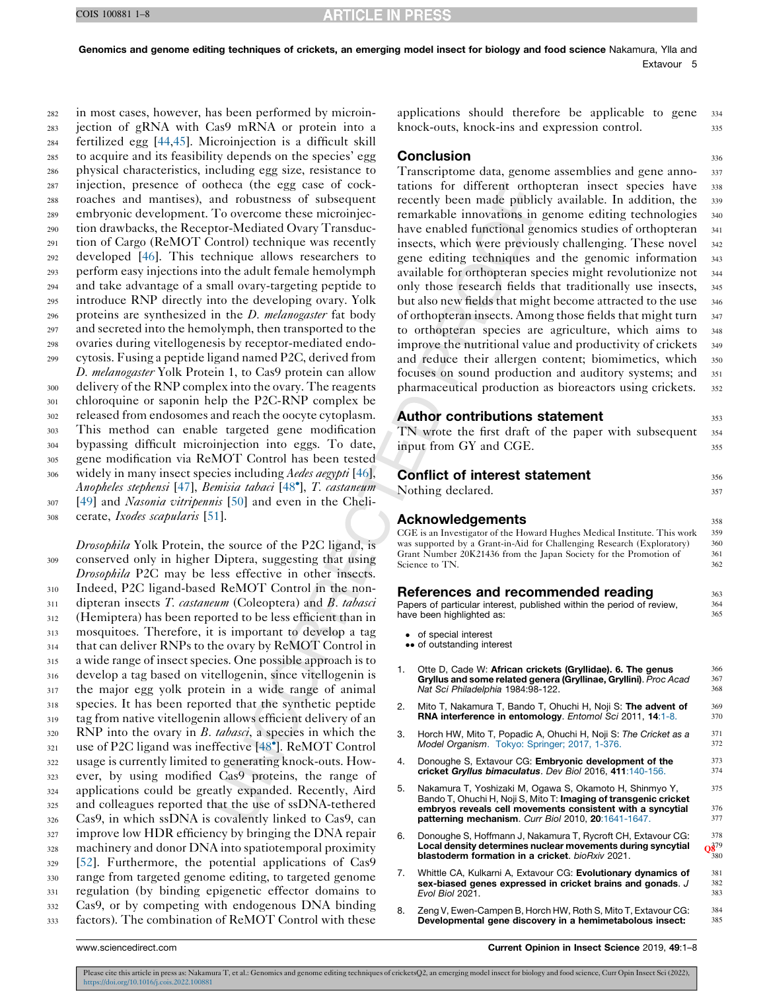<span id="page-4-0"></span> in most cases, however, has been performed by microin- jection of gRNA with Cas9 mRNA or protein into a fertilized egg [\[44](#page-6-0),[45\]](#page-6-0). Microinjection is a difficult skill to acquire and its feasibility depends on the species' egg physical characteristics, including egg size, resistance to injection, presence of ootheca (the egg case of cock- roaches and mantises), and robustness of subsequent embryonic development. To overcome these microinjec- tion drawbacks, the Receptor-Mediated Ovary Transduc- tion of Cargo (ReMOT Control) technique was recently developed [[46\]](#page-6-0). This technique allows researchers to perform easy injections into the adult female hemolymph and take advantage of a small ovary-targeting peptide to introduce RNP directly into the developing ovary. Yolk 296 proteins are synthesized in the D. melanogaster fat body and secreted into the hemolymph, then transported to the ovaries during vitellogenesis by receptor-mediated endo- cytosis. Fusing a peptide ligand named P2C, derived from D. *melanogaster* Yolk Protein 1, to Cas9 protein can allow delivery of the RNP complex into the ovary. The reagents chloroquine or saponin help the P2C-RNP complex be released from endosomes and reach the oocyte cytoplasm. This method can enable targeted gene modification bypassing difficult microinjection into eggs. To date, gene modification via ReMOT Control has been tested 306 widely in many insect species including Aedes aegypti [\[46](#page-6-0)], Anopheles stephensi [\[47](#page-6-0)], Bemisia tabaci [[48](#page-6-0) ], T. castaneum [\[49](#page-6-0)] and *Nasonia vitripennis* [\[50](#page-6-0)] and even in the Cheli-

<sup>308</sup> cerate, Ixodes scapularis [\[51](#page-6-0)].

*Drosophila* Yolk Protein, the source of the P2C ligand, is conserved only in higher Diptera, suggesting that using Drosophila P2C may be less effective in other insects. Indeed, P2C ligand-based ReMOT Control in the non- dipteran insects T. *castaneum* (Coleoptera) and B. tabasci (Hemiptera) has been reported to be less efficient than in mosquitoes. Therefore, it is important to develop a tag that can deliver RNPs to the ovary by ReMOT Control in a wide range of insect species. One possible approach is to develop a tag based on vitellogenin, since vitellogenin is the major egg yolk protein in a wide range of animal species. It has been reported that the synthetic peptide tag from native vitellogenin allows efficient delivery of an RNP into the ovary in *B. tabasci*, a species in which the use of P2C ligand was ineffective [[48](#page-6-0) ]. ReMOT Control usage is currently limited to generating knock-outs. How- ever, by using modified Cas9 proteins, the range of applications could be greatly expanded. Recently, Aird and colleagues reported that the use of ssDNA-tethered Cas9, in which ssDNA is covalently linked to Cas9, can 327 improve low HDR efficiency by bringing the DNA repair machinery and donor DNA into spatiotemporal proximity [\[52](#page-6-0)]. Furthermore, the potential applications of Cas9 range from targeted genome editing, to targeted genome regulation (by binding epigenetic effector domains to Cas9, or by competing with endogenous DNA binding factors). The combination of ReMOT Control with these

applications should therefore be applicable to gene <sup>334</sup> knock-outs, knock-ins and expression control. 335

# **Conclusion** 336

Transcriptome data, genome assemblies and gene anno- <sup>337</sup> tations for different orthopteran insect species have <sup>338</sup> recently been made publicly available. In addition, the 339 remarkable innovations in genome editing technologies <sup>340</sup> have enabled functional genomics studies of orthopteran 341 insects, which were previously challenging. These novel <sup>342</sup> gene editing techniques and the genomic information <sup>343</sup> available for orthopteran species might revolutionize not <sup>344</sup> only those research fields that traditionally use insects, <sup>345</sup> but also new fields that might become attracted to the use 346 of orthopteran insects. Among those fields that might turn 347 to orthopteran species are agriculture, which aims to <sup>348</sup> improve the nutritional value and productivity of crickets 349 and reduce their allergen content; biomimetics, which 350 focuses on sound production and auditory systems; and <sup>351</sup> pharmaceutical production as bioreactors using crickets. <sup>352</sup>

# Author contributions statement  $353$ TN wrote the first draft of the paper with subsequent 354 input from GY and CGE. 355

**Conflict of interest statement** 356 Nothing declared. 357 Acknowledgements 358 CGE is an Investigator of the Howard Hughes Medical Institute. This work 359 was supported by a Grant-in-Aid for Challenging Research (Exploratory) 360<br>Grant Number 20K21436 from the Japan Society for the Promotion of 361 Grant Number 20K21436 from the Japan Society for the Promotion of 361<br>Science to TN. 362 Science to TN. **References and recommended reading 363** 363<br>Papers of particular interest, published within the period of review. Papers of particular interest, published within the period of review,<br>have been highlighted as: 365 have been highlighted as: • of special interest • of outstanding interest Otte D, Cade W: African crickets (Gryllidae). 6. The genus  $366$ <br>Gryllus and some related genera (Gryllinae, Gryllini). *Proc. Acad*  $367$ Gryllus and some related genera (Gryllinae, Gryllini). Proc Acad  $367$ <br>Net Sci Philadelphia 1984-98-122 Nat Sci Philadelphia 1984:98-122. 2. Mito T, Nakamura T, Bando T, Ohuchi H, Noji S: **The advent of**  $369$ <br>**RNA interference in entomology**. *Entomol Sci* 2011. **14:1-8.**  $370$ RNA interference in entomology. Entomol Sci 2011, 14:1-8. 3. Horch HW, Mito T, Popadic A, Ohuchi H, Noji S: The Cricket as a 371<br>Model Organism Tokyo: Springer: 2017 1-376 Model Organism. Tokyo: Springer; 2017, 1-376. 4. Donoughe S, Extavour CG: **Embryonic development of the** 373<br> **cricket Gryllus himaculatus** Dev Biol 2016 411:140-156 cricket Gryllus bimaculatus. Dev Biol 2016, 411:140-156. 5. Nakamura T, Yoshizaki M, Ogawa S, Okamoto H, Shinmyo Y, 375 Bando T, Ohuchi H, Noji S, Mito T: Imaging of transgenic cricket embryos reveals cell movements consistent with a syncytial  $376$ <br>natterning mechanism Curr Biol 2010 201641-1647 patterning mechanism. Curr Biol 2010, 20:1641-1647 6. Donoughe S, Hoffmann J, Nakamura T, Rycroft CH, Extavour CG:  $378$ <br> **Local density determines nuclear movements during syncytial**  $\frac{2879}{930}$ <br>
blastoderm formation in a cricket. bioRxiv 2021. Local density determines nuclear movements during syncytial blastoderm formation in a cricket. bioRxiv 2021.

- 7. Whittle CA, Kulkarni A, Extavour CG: **Evolutionary dynamics of** 381 sex-biased genes expressed in cricket brains and gonads. J Evol Biol 2021. 383
- 8. Zeng V, Ewen-Campen B, Horch HW, Roth S, Mito T, Extavour CG: 384<br> **Developmental gene discovery in a hemimetabolous insect:** 385 Developmental gene discovery in a hemimetabolous insect:

www.sciencedirect.com Current Opinion in Insect Science 2019, 49:1–8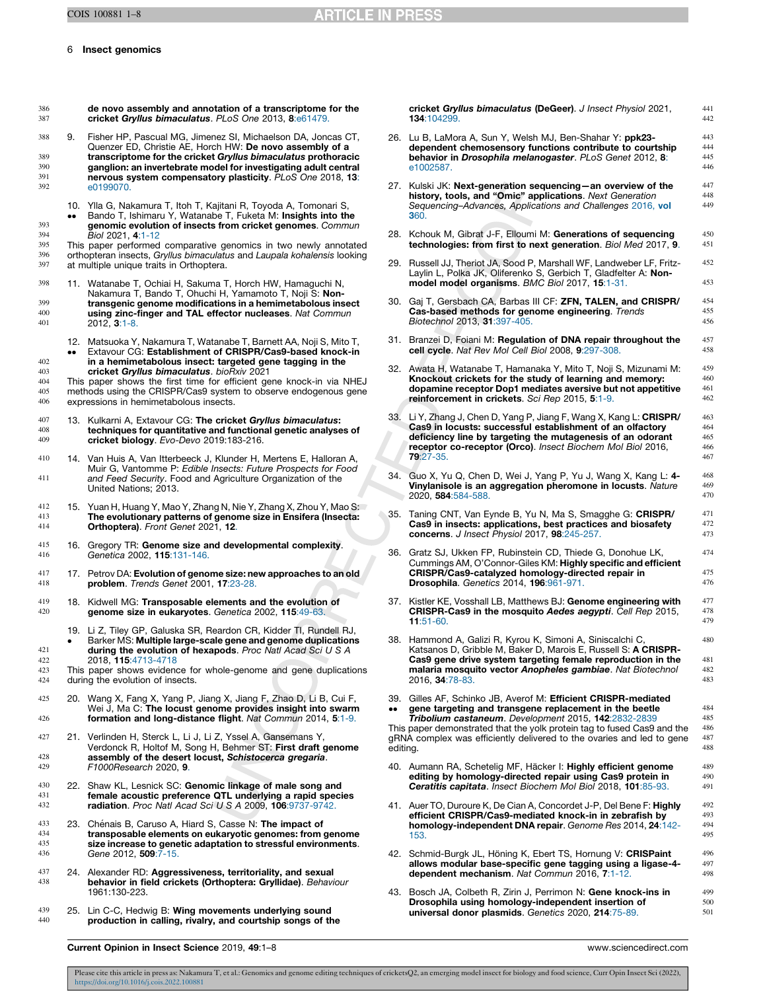401 2012, 3:1-8.

<span id="page-5-0"></span>6 Insect genomics

| 386<br>387                      |                  | de novo assembly and annotation of a transcriptome for the<br>cricket Gryllus bimaculatus. PLoS One 2013, 8:e61479.                                                                                                                                                                        |                  | cricket Gryllus bimaculatus (DeGeer). J Insect Physiol 2021,<br>134:104299.                                                                                                                                                                   | 441<br>442               |
|---------------------------------|------------------|--------------------------------------------------------------------------------------------------------------------------------------------------------------------------------------------------------------------------------------------------------------------------------------------|------------------|-----------------------------------------------------------------------------------------------------------------------------------------------------------------------------------------------------------------------------------------------|--------------------------|
| 388<br>389<br>390               | 9.               | Fisher HP, Pascual MG, Jimenez SI, Michaelson DA, Joncas CT,<br>Quenzer ED, Christie AE, Horch HW: De novo assembly of a<br>transcriptome for the cricket Gryllus bimaculatus prothoracic<br>ganglion: an invertebrate model for investigating adult central                               |                  | 26. Lu B, LaMora A, Sun Y, Welsh MJ, Ben-Shahar Y: ppk23-<br>dependent chemosensory functions contribute to courtship<br>behavior in Drosophila melanogaster. PLoS Genet 2012, 8:<br>e1002587.                                                | 443<br>444<br>445<br>446 |
| 391<br>392                      |                  | nervous system compensatory plasticity. PLoS One 2018, 13:<br>e0199070.<br>10. Yila G, Nakamura T, Itoh T, Kajitani R, Toyoda A, Tomonari S,                                                                                                                                               |                  | 27. Kulski JK: Next-generation sequencing—an overview of the<br>history, tools, and "Omic" applications. Next Generation                                                                                                                      | 447<br>448<br>449        |
| 393                             |                  | Bando T, Ishimaru Y, Watanabe T, Fuketa M: Insights into the<br>genomic evolution of insects from cricket genomes. Commun                                                                                                                                                                  |                  | Sequencing–Advances, Applications and Challenges 2016, vol<br>360.                                                                                                                                                                            |                          |
| 394<br>395<br>396               |                  | Biol 2021, 4:1-12<br>This paper performed comparative genomics in two newly annotated<br>orthopteran insects, Gryllus bimaculatus and Laupala kohalensis looking                                                                                                                           |                  | 28. Kchouk M, Gibrat J-F, Elloumi M: Generations of sequencing<br>technologies: from first to next generation. Biol Med 2017, 9.                                                                                                              | 450<br>451               |
| 397                             |                  | at multiple unique traits in Orthoptera.                                                                                                                                                                                                                                                   |                  | 29. Russell JJ, Theriot JA, Sood P, Marshall WF, Landweber LF, Fritz-<br>Laylin L, Polka JK, Oliferenko S, Gerbich T, Gladfelter A: Non-                                                                                                      | 452<br>453               |
| 398                             |                  | 11. Watanabe T, Ochiai H, Sakuma T, Horch HW, Hamaguchi N,<br>Nakamura T, Bando T, Ohuchi H, Yamamoto T, Noji S: Non-                                                                                                                                                                      |                  | model model organisms. BMC Biol 2017, 15:1-31.                                                                                                                                                                                                |                          |
| 399<br>400<br>401               |                  | transgenic genome modifications in a hemimetabolous insect<br>using zinc-finger and TAL effector nucleases. Nat Commun<br>2012, <b>3</b> :1-8.                                                                                                                                             |                  | 30. Gaj T, Gersbach CA, Barbas III CF: ZFN, TALEN, and CRISPR/<br>Cas-based methods for genome engineering. Trends<br>Biotechnol 2013, 31:397-405.                                                                                            | 454<br>455<br>456        |
|                                 | $\bullet\bullet$ | 12. Matsuoka Y, Nakamura T, Watanabe T, Barnett AA, Noji S, Mito T,<br>Extavour CG: Establishment of CRISPR/Cas9-based knock-in                                                                                                                                                            |                  | 31. Branzei D, Foiani M: Regulation of DNA repair throughout the<br>cell cycle. Nat Rev Mol Cell Biol 2008, 9:297-308.                                                                                                                        | 457<br>458               |
| 402<br>403<br>404<br>405<br>406 |                  | in a hemimetabolous insect: targeted gene tagging in the<br>cricket Gryllus bimaculatus. bioRxiv 2021<br>This paper shows the first time for efficient gene knock-in via NHEJ<br>methods using the CRISPR/Cas9 system to observe endogenous gene<br>expressions in hemimetabolous insects. |                  | 32. Awata H, Watanabe T, Hamanaka Y, Mito T, Noji S, Mizunami M:<br>Knockout crickets for the study of learning and memory:<br>dopamine receptor Dop1 mediates aversive but not appetitive<br>reinforcement in crickets. Sci Rep 2015, 5:1-9. | 459<br>460<br>461<br>462 |
|                                 |                  |                                                                                                                                                                                                                                                                                            |                  | 33. Li Y, Zhang J, Chen D, Yang P, Jiang F, Wang X, Kang L: CRISPR/                                                                                                                                                                           | 46 <sup>2</sup>          |
| 407<br>408<br>409               |                  | 13. Kulkarni A, Extavour CG: The cricket Gryllus bimaculatus:<br>techniques for quantitative and functional genetic analyses of<br>cricket biology. Evo-Devo 2019:183-216.                                                                                                                 |                  | Cas9 in locusts: successful establishment of an olfactory<br>deficiency line by targeting the mutagenesis of an odorant<br>receptor co-receptor (Orco). Insect Biochem Mol Biol 2016,                                                         | 464<br>465<br>466        |
| 410                             |                  | 14. Van Huis A, Van Itterbeeck J, Klunder H, Mertens E, Halloran A,<br>Muir G, Vantomme P: Edible Insects: Future Prospects for Food                                                                                                                                                       |                  | 79:27-35.                                                                                                                                                                                                                                     | 467                      |
| 411                             |                  | and Feed Security. Food and Agriculture Organization of the<br>United Nations; 2013.                                                                                                                                                                                                       |                  | 34. Guo X, Yu Q, Chen D, Wei J, Yang P, Yu J, Wang X, Kang L: 4-<br>Vinylanisole is an aggregation pheromone in locusts. Nature<br>2020, 584:584-588.                                                                                         | 468<br>469<br>470        |
| 412<br>413<br>414               |                  | 15. Yuan H, Huang Y, Mao Y, Zhang N, Nie Y, Zhang X, Zhou Y, Mao S:<br>The evolutionary patterns of genome size in Ensifera (Insecta:<br><b>Orthoptera).</b> Front Genet 2021, 12.                                                                                                         |                  | 35. Taning CNT, Van Eynde B, Yu N, Ma S, Smagghe G: CRISPR/<br>Cas9 in insects: applications, best practices and biosafety<br><b>concerns.</b> J Insect Physiol 2017, 98:245-257.                                                             | 471<br>472<br>473        |
| 415<br>416                      |                  | 16. Gregory TR: Genome size and developmental complexity.<br>Genetica 2002, 115:131-146.                                                                                                                                                                                                   |                  | 36. Gratz SJ, Ukken FP, Rubinstein CD, Thiede G, Donohue LK,<br>Cummings AM, O'Connor-Giles KM: <b>Highly specific and efficient</b>                                                                                                          | 474                      |
| 417<br>418                      |                  | 17. Petrov DA: Evolution of genome size: new approaches to an old<br><b>problem.</b> Trends Genet 2001, 17:23-28.                                                                                                                                                                          |                  | CRISPR/Cas9-catalyzed homology-directed repair in<br><b>Drosophila.</b> Genetics 2014, 196:961-971.                                                                                                                                           | 475<br>476               |
| 419<br>420                      |                  | 18. Kidwell MG: Transposable elements and the evolution of<br>genome size in eukaryotes. Genetica 2002, 115:49-63.                                                                                                                                                                         |                  | 37. Kistler KE, Vosshall LB, Matthews BJ: Genome engineering with<br><b>CRISPR-Cas9 in the mosquito Aedes aegypti.</b> Cell Rep 2015,<br>$11:51-60.$                                                                                          | 477<br>478<br>479        |
| 421                             | $\bullet$        | 19. Li Z, Tiley GP, Galuska SR, Reardon CR, Kidder TI, Rundell RJ,<br>Barker MS: Multiple large-scale gene and genome duplications<br>during the evolution of hexapods. Proc Natl Acad Sci U S A                                                                                           |                  | 38. Hammond A, Galizi R, Kyrou K, Simoni A, Siniscalchi C,<br>Katsanos D, Gribble M, Baker D, Marois E, Russell S: <b>A CRISPR-</b>                                                                                                           | 480                      |
| 422                             |                  | 2018, 115:4713-4718                                                                                                                                                                                                                                                                        |                  | Cas9 gene drive system targeting female reproduction in the                                                                                                                                                                                   | 481                      |
| 423<br>424                      |                  | This paper shows evidence for whole-genome and gene duplications<br>during the evolution of insects.                                                                                                                                                                                       |                  | malaria mosquito vector Anopheles gambiae. Nat Biotechnol<br>2016, <b>34</b> :78-83.                                                                                                                                                          | 482<br>483               |
| 425<br>426                      |                  | 20. Wang X, Fang X, Yang P, Jiang X, Jiang F, Zhao D, Li B, Cui F,<br>Wei J, Ma C: The locust genome provides insight into swarm<br>formation and long-distance flight. Nat Commun 2014, 5:1-9.                                                                                            | $\bullet\bullet$ | 39. Gilles AF, Schinko JB, Averof M: Efficient CRISPR-mediated<br>gene targeting and transgene replacement in the beetle<br>Tribolium castaneum. Development 2015, 142:2832-2839                                                              | 484<br>485               |
| 427                             |                  | 21. Verlinden H, Sterck L, Li J, Li Z, Yssel A, Gansemans Y,                                                                                                                                                                                                                               |                  | This paper demonstrated that the yolk protein tag to fused Cas9 and the<br>gRNA complex was efficiently delivered to the ovaries and led to gene                                                                                              | 486<br>487               |
| 428                             |                  | Verdonck R, Holtof M, Song H, Behmer ST: First draft genome<br>assembly of the desert locust, Schistocerca gregaria.                                                                                                                                                                       | editina.         |                                                                                                                                                                                                                                               | 488                      |
| 429                             |                  | F1000Research 2020, 9.                                                                                                                                                                                                                                                                     |                  | 40. Aumann RA, Schetelig MF, Häcker I: Highly efficient genome<br>editing by homology-directed repair using Cas9 protein in                                                                                                                   | 489<br>490               |
| 430<br>431                      |                  | 22. Shaw KL, Lesnick SC: Genomic linkage of male song and<br>female acoustic preference QTL underlying a rapid species                                                                                                                                                                     |                  | Ceratitis capitata. Insect Biochem Mol Biol 2018, 101:85-93.                                                                                                                                                                                  | 491                      |
| 432                             |                  | radiation. Proc Natl Acad Sci U S A 2009, 106:9737-9742.                                                                                                                                                                                                                                   |                  | 41. Auer TO, Duroure K, De Cian A, Concordet J-P, Del Bene F: Highly<br>efficient CRISPR/Cas9-mediated knock-in in zebrafish by                                                                                                               | 492<br>493               |
| 433                             |                  | 23. Chénais B, Caruso A, Hiard S, Casse N: The impact of                                                                                                                                                                                                                                   |                  | homology-independent DNA repair. Genome Res 2014, 24:142-                                                                                                                                                                                     | 494                      |
| 434<br>435                      |                  | transposable elements on eukaryotic genomes: from genome<br>size increase to genetic adaptation to stressful environments.                                                                                                                                                                 |                  | 153.                                                                                                                                                                                                                                          | 495                      |
| 436                             |                  | Gene 2012, 509:7-15.                                                                                                                                                                                                                                                                       |                  | 42. Schmid-Burgk JL, Höning K, Ebert TS, Hornung V: CRISPaint                                                                                                                                                                                 | 496                      |
| 437<br>438                      |                  | 24. Alexander RD: Aggressiveness, territoriality, and sexual<br>behavior in field crickets (Orthoptera: Gryllidae). Behaviour                                                                                                                                                              |                  | allows modular base-specific gene tagging using a ligase-4-<br>dependent mechanism. Nat Commun 2016, 7:1-12.                                                                                                                                  | 497<br>498               |
|                                 |                  | 1961:130-223.                                                                                                                                                                                                                                                                              |                  | 43. Bosch JA, Colbeth R, Zirin J, Perrimon N: Gene knock-ins in<br>Drosophila using homology-independent insertion of                                                                                                                         | 499<br>500               |
| 439<br>440                      |                  | 25. Lin C-C, Hedwig B: Wing movements underlying sound<br>production in calling, rivalry, and courtship songs of the                                                                                                                                                                       |                  | universal donor plasmids. Genetics 2020, 214:75-89.                                                                                                                                                                                           | 501                      |

Current Opinion in Insect Science 2019, 49:1–8 www.sciencedirect.com

Please cite this article in press as: Nakamura T, et al.: Genomics and genome editing techniques of cricketsQ2, an emerging model insect for biology and food science, Curr Opin Insect Sci (2022).<br>https://doi.org/10.1016/j.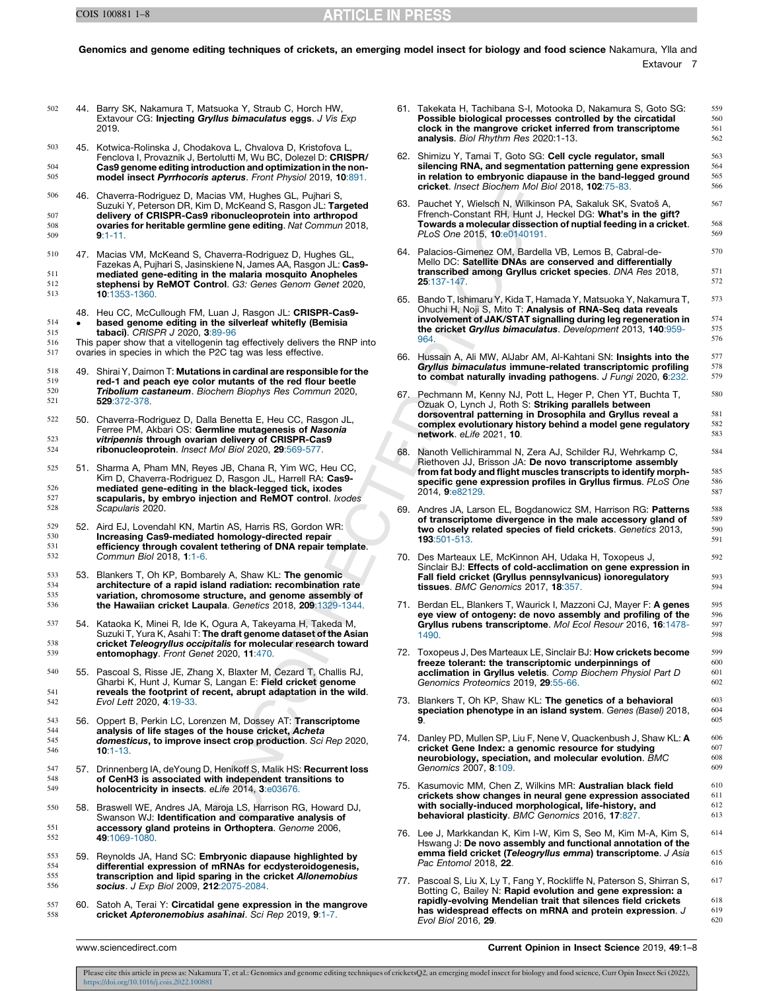502 44. Barry SK, Nakamura T, Matsuoka Y, Straub C, Horch HW,

#### <span id="page-6-0"></span>Genomics and genome editing techniques of crickets, an emerging model insect for biology and food science Nakamura, Ylla and Extavour 7

|                   |     | Extavour CG: Injecting Gryllus bimaculatus eggs. J Vis Exp<br>2019.                                                                                                                                 |     | Possible biological processes controlled by the circatidal<br>clock in the mangrove cricket inferred from transcriptome<br>analysis. Biol Rhythm Res 2020:1-13. | 560<br>561<br>562 |
|-------------------|-----|-----------------------------------------------------------------------------------------------------------------------------------------------------------------------------------------------------|-----|-----------------------------------------------------------------------------------------------------------------------------------------------------------------|-------------------|
| 503<br>504        |     | 45. Kotwica-Rolinska J, Chodakova L, Chvalova D, Kristofova L,<br>Fenclova I, Provaznik J, Bertolutti M, Wu BC, Dolezel D: CRISPR/<br>Cas9 genome editing introduction and optimization in the non- |     | 62. Shimizu Y, Tamai T, Goto SG: Cell cycle regulator, small<br>silencing RNA, and segmentation patterning gene expression                                      | 563<br>564        |
| 505               |     | model insect Pyrrhocoris apterus. Front Physiol 2019, 10:891.                                                                                                                                       |     | in relation to embryonic diapause in the band-legged ground<br>cricket. Insect Biochem Mol Biol 2018, 102:75-83.                                                | 565<br>566        |
| 506               |     | 46. Chaverra-Rodriguez D, Macias VM, Hughes GL, Pujhari S,<br>Suzuki Y, Peterson DR, Kim D, McKeand S, Rasgon JL: Targeted                                                                          |     | 63. Pauchet Y, Wielsch N, Wilkinson PA, Sakaluk SK, Svatoš A,                                                                                                   | 567               |
| 507<br>508        |     | delivery of CRISPR-Cas9 ribonucleoprotein into arthropod<br>ovaries for heritable germline gene editing. Nat Commun 2018,                                                                           |     | Ffrench-Constant RH, Hunt J, Heckel DG: What's in the gift?<br>Towards a molecular dissection of nuptial feeding in a cricket.                                  | 568               |
| 509               |     | $9:1 - 11.$                                                                                                                                                                                         |     | PLoS One 2015, 10:e0140191.                                                                                                                                     | 569               |
| 510               |     | 47. Macias VM, McKeand S, Chaverra-Rodriguez D, Hughes GL,<br>Fazekas A, Pujhari S, Jasinskiene N, James AA, Rasgon JL: Cas9-                                                                       |     | 64. Palacios-Gimenez OM, Bardella VB, Lemos B, Cabral-de-<br>Mello DC: Satellite DNAs are conserved and differentially                                          | 570               |
| 511<br>512<br>513 |     | mediated gene-editing in the malaria mosquito Anopheles<br>stephensi by ReMOT Control. G3: Genes Genom Genet 2020,<br>10:1353-1360.                                                                 |     | transcribed among Gryllus cricket species. DNA Res 2018,<br>25:137-147.                                                                                         | 571<br>572        |
|                   |     |                                                                                                                                                                                                     |     | 65. Bando T, Ishimaru Y, Kida T, Hamada Y, Matsuoka Y, Nakamura T,                                                                                              | 573               |
|                   |     | 48. Heu CC, McCullough FM, Luan J, Rasgon JL: CRISPR-Cas9-                                                                                                                                          |     | Ohuchi H, Noji S, Mito T: Analysis of RNA-Seq data reveals<br>involvement of JAK/STAT signalling during leg regeneration in                                     | 574               |
| 514<br>515        |     | based genome editing in the silverleaf whitefly (Bemisia                                                                                                                                            |     | the cricket Gryllus bimaculatus. Development 2013, 140:959-                                                                                                     | 575               |
| 516               |     | <b>tabaci)</b> . CRISPR J 2020, 3:89-96<br>This paper show that a vitellogenin tag effectively delivers the RNP into                                                                                |     | 964.                                                                                                                                                            | 576               |
| 517               |     | ovaries in species in which the P2C tag was less effective.                                                                                                                                         |     |                                                                                                                                                                 |                   |
| 518               |     | 49. Shirai Y, Daimon T: Mutations in cardinal are responsible for the                                                                                                                               |     | 66. Hussain A, Ali MW, AlJabr AM, Al-Kahtani SN: Insights into the<br>Gryllus bimaculatus immune-related transcriptomic profiling                               | 577<br>578<br>579 |
| 519<br>520        |     | red-1 and peach eye color mutants of the red flour beetle<br><b>Tribolium castaneum</b> . Biochem Biophys Res Commun 2020,                                                                          |     | to combat naturally invading pathogens. J Fungi 2020, 6:232.                                                                                                    |                   |
| 521               |     | 529:372-378.                                                                                                                                                                                        |     | 67. Pechmann M, Kenny NJ, Pott L, Heger P, Chen YT, Buchta T,<br>Ozuak O, Lynch J, Roth S: Striking parallels between                                           | 580               |
| 522               |     |                                                                                                                                                                                                     |     | dorsoventral patterning in Drosophila and Gryllus reveal a                                                                                                      | 581               |
|                   |     | 50. Chaverra-Rodriguez D, Dalla Benetta E, Heu CC, Rasgon JL,<br>Ferree PM, Akbari OS: Germline mutagenesis of Nasonia                                                                              |     | complex evolutionary history behind a model gene regulatory                                                                                                     | 582               |
| 523               |     | vitripennis through ovarian delivery of CRISPR-Cas9                                                                                                                                                 |     | network. eLife 2021, 10.                                                                                                                                        | 583               |
| 524               |     | ribonucleoprotein. Insect Mol Biol 2020, 29:569-577.                                                                                                                                                |     | 68. Nanoth Vellichirammal N, Zera AJ, Schilder RJ, Wehrkamp C,                                                                                                  | 584               |
| 525               |     | 51. Sharma A, Pham MN, Reyes JB, Chana R, Yim WC, Heu CC,                                                                                                                                           |     | Riethoven JJ, Brisson JA: De novo transcriptome assembly<br>from fat body and flight muscles transcripts to identify morph-                                     | 585               |
| 526               |     | Kim D, Chaverra-Rodriguez D, Rasgon JL, Harrell RA: Cas9-<br>mediated gene-editing in the black-legged tick, ixodes                                                                                 |     | specific gene expression profiles in Gryllus firmus. PLoS One                                                                                                   | 586               |
| 527               |     | scapularis, by embryo injection and ReMOT control. Ixodes                                                                                                                                           |     | 2014, 9:e82129.                                                                                                                                                 | 587               |
| 528               |     | Scapularis 2020.                                                                                                                                                                                    | 69. | Andres JA, Larson EL, Bogdanowicz SM, Harrison RG: Patterns                                                                                                     | 588               |
| 529               |     |                                                                                                                                                                                                     |     | of transcriptome divergence in the male accessory gland of                                                                                                      | 589               |
| 530               |     | 52. Aird EJ, Lovendahl KN, Martin AS, Harris RS, Gordon WR:<br>Increasing Cas9-mediated homology-directed repair                                                                                    |     | two closely related species of field crickets. Genetics 2013,                                                                                                   | 590<br>591        |
| 531               |     | efficiency through covalent tethering of DNA repair template.                                                                                                                                       |     | 193:501-513.                                                                                                                                                    |                   |
| 532               |     | Commun Biol 2018, 1:1-6.                                                                                                                                                                            |     | 70. Des Marteaux LE, McKinnon AH, Udaka H, Toxopeus J,<br>Sinclair BJ: Effects of cold-acclimation on gene expression in                                        | 592               |
| 533               |     | 53. Blankers T, Oh KP, Bombarely A, Shaw KL: The genomic                                                                                                                                            |     | Fall field cricket (Gryllus pennsylvanicus) ionoregulatory                                                                                                      | 593               |
| 534               |     | architecture of a rapid island radiation: recombination rate                                                                                                                                        |     | tissues. BMC Genomics 2017, 18:357.                                                                                                                             | 594               |
| 535<br>536        |     | variation, chromosome structure, and genome assembly of<br>the Hawaiian cricket Laupala. Genetics 2018, 209:1329-1344.                                                                              |     | 71. Berdan EL, Blankers T, Waurick I, Mazzoni CJ, Mayer F: A genes                                                                                              | 595               |
| 537               |     | 54. Kataoka K, Minei R, Ide K, Ogura A, Takeyama H, Takeda M,                                                                                                                                       |     | eye view of ontogeny: de novo assembly and profiling of the<br>Gryllus rubens transcriptome. Mol Ecol Resour 2016, 16:1478-                                     | 596<br>597        |
|                   |     | Suzuki T, Yura K, Asahi T: The draft genome dataset of the Asian                                                                                                                                    |     | 1490.                                                                                                                                                           | 598               |
| 538<br>539        |     | cricket Teleogryllus occipitalis for molecular research toward<br>entomophagy. Front Genet 2020, 11:470.                                                                                            |     | 72. Toxopeus J, Des Marteaux LE, Sinclair BJ: <b>How crickets become</b>                                                                                        | 599               |
|                   |     |                                                                                                                                                                                                     |     | freeze tolerant: the transcriptomic underpinnings of                                                                                                            | 600               |
| 540               | 55. | Pascoal S, Risse JE, Zhang X, Blaxter M, Cezard T, Challis RJ,                                                                                                                                      |     | acclimation in Gryllus veletis. Comp Biochem Physiol Part D                                                                                                     | 601               |
| 541               |     | Gharbi K, Hunt J, Kumar S, Langan E: Field cricket genome<br>reveals the footprint of recent, abrupt adaptation in the wild.                                                                        |     | Genomics Proteomics 2019, 29:55-66.                                                                                                                             | 602               |
| 542               |     | Evol Lett 2020, 4:19-33.                                                                                                                                                                            |     | 73. Blankers T, Oh KP, Shaw KL: The genetics of a behavioral                                                                                                    | 603               |
| 543               |     | 56. Oppert B, Perkin LC, Lorenzen M, Dossey AT: Transcriptome                                                                                                                                       |     | speciation phenotype in an island system. Genes (Basel) 2018,<br>9.                                                                                             | 604<br>605        |
| 544               |     | analysis of life stages of the house cricket, Acheta                                                                                                                                                |     |                                                                                                                                                                 |                   |
| 545               |     | domesticus, to improve insect crop production. Sci Rep 2020,                                                                                                                                        |     | 74. Danley PD, Mullen SP, Liu F, Nene V, Quackenbush J, Shaw KL: A                                                                                              | 606               |
| 546               |     | $10:1-13.$                                                                                                                                                                                          |     | cricket Gene Index: a genomic resource for studying<br>neurobiology, speciation, and molecular evolution. BMC                                                   | 607<br>608        |
| 547<br>548        |     | 57. Drinnenberg IA, de Young D, Henikoff S, Malik HS: Recurrent loss<br>of CenH3 is associated with independent transitions to                                                                      |     | Genomics 2007, 8:109.                                                                                                                                           | 609               |
| 549               |     | holocentricity in insects. eLife 2014, 3:e03676.                                                                                                                                                    |     | 75. Kasumovic MM, Chen Z, Wilkins MR: Australian black field                                                                                                    | 610               |
|                   |     |                                                                                                                                                                                                     |     | crickets show changes in neural gene expression associated<br>with socially-induced morphological, life-history, and                                            | 611<br>612        |
| 550               | 58. | Braswell WE, Andres JA, Maroja LS, Harrison RG, Howard DJ,<br>Swanson WJ: Identification and comparative analysis of                                                                                |     | behavioral plasticity. BMC Genomics 2016, 17:827.                                                                                                               | 613               |
| 551<br>552        |     | accessory gland proteins in Orthoptera. Genome 2006,<br><b>49</b> :1069-1080.                                                                                                                       |     | 76. Lee J, Markkandan K, Kim I-W, Kim S, Seo M, Kim M-A, Kim S,<br>Hswang J: De novo assembly and functional annotation of the                                  | 614               |
| 553               |     | 59. Reynolds JA, Hand SC: Embryonic diapause highlighted by                                                                                                                                         |     | emma field cricket (Teleogryllus emma) transcriptome. J Asia                                                                                                    | 615               |
| 554               |     | differential expression of mRNAs for ecdysteroidogenesis,                                                                                                                                           |     | Pac Entomol 2018, 22.                                                                                                                                           | 616               |
| 555               |     | transcription and lipid sparing in the cricket Allonemobius                                                                                                                                         |     | 77. Pascoal S, Liu X, Ly T, Fang Y, Rockliffe N, Paterson S, Shirran S,                                                                                         | 617               |
| 556               |     | socius. J Exp Biol 2009, 212:2075-2084.                                                                                                                                                             |     | Botting C, Bailey N: Rapid evolution and gene expression: a                                                                                                     |                   |
| 557<br>558        |     | 60. Satoh A, Terai Y: Circatidal gene expression in the mangrove<br>cricket Apteronemobius asahinai. Sci Rep 2019, 9:1-7.                                                                           |     | rapidly-evolving Mendelian trait that silences field crickets<br>has widespread effects on mRNA and protein expression. J<br>Evol Biol 2016, 29.                | 618<br>619<br>620 |
|                   |     |                                                                                                                                                                                                     |     |                                                                                                                                                                 |                   |

www.sciencedirect.com Current Opinion in Insect Science 2019, 49:1–8

Please cite this article in press as: Nakamura T, et al.: Genomics and genome editing techniques of cricketsQ2, an emerging model insect for biology and food science, Curr Opin Insect Sci (2022), <https://doi.org/10.1016/j.cois.2022.100881>